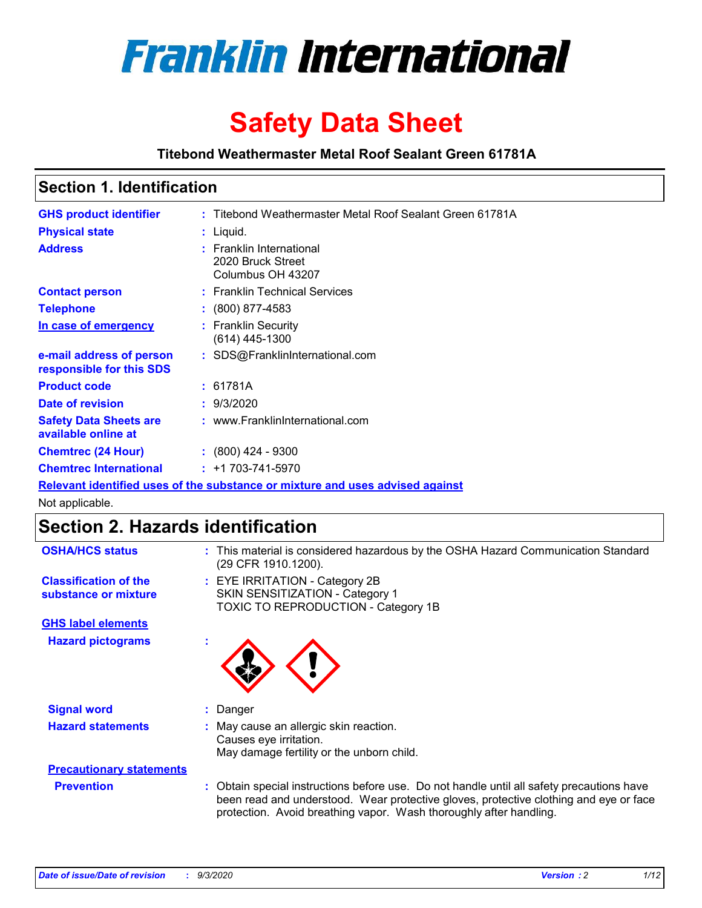

# **Safety Data Sheet**

**Titebond Weathermaster Metal Roof Sealant Green 61781A**

### **Section 1. Identification**

| <b>GHS product identifier</b>                                                 |  | : Titebond Weathermaster Metal Roof Sealant Green 61781A           |  |  |
|-------------------------------------------------------------------------------|--|--------------------------------------------------------------------|--|--|
| <b>Physical state</b>                                                         |  | $:$ Liquid.                                                        |  |  |
| <b>Address</b>                                                                |  | : Franklin International<br>2020 Bruck Street<br>Columbus OH 43207 |  |  |
| <b>Contact person</b>                                                         |  | : Franklin Technical Services                                      |  |  |
| <b>Telephone</b>                                                              |  | $\div$ (800) 877-4583                                              |  |  |
| In case of emergency                                                          |  | : Franklin Security<br>(614) 445-1300                              |  |  |
| e-mail address of person<br>responsible for this SDS                          |  | : SDS@FranklinInternational.com                                    |  |  |
| <b>Product code</b>                                                           |  | : 61781A                                                           |  |  |
| Date of revision                                                              |  | : 9/3/2020                                                         |  |  |
| <b>Safety Data Sheets are</b><br>available online at                          |  | : www.FranklinInternational.com                                    |  |  |
| <b>Chemtrec (24 Hour)</b>                                                     |  | $\cdot$ (800) 424 - 9300                                           |  |  |
| <b>Chemtrec International</b>                                                 |  | $: +1703 - 741 - 5970$                                             |  |  |
| Relevant identified uses of the substance or mixture and uses advised against |  |                                                                    |  |  |

Not applicable.

## **Section 2. Hazards identification**

| <b>OSHA/HCS status</b>                               |    | : This material is considered hazardous by the OSHA Hazard Communication Standard<br>(29 CFR 1910.1200).                                                                                                                                                 |
|------------------------------------------------------|----|----------------------------------------------------------------------------------------------------------------------------------------------------------------------------------------------------------------------------------------------------------|
| <b>Classification of the</b><br>substance or mixture |    | : EYE IRRITATION - Category 2B<br>SKIN SENSITIZATION - Category 1<br>TOXIC TO REPRODUCTION - Category 1B                                                                                                                                                 |
| <b>GHS label elements</b>                            |    |                                                                                                                                                                                                                                                          |
| <b>Hazard pictograms</b>                             | ×. |                                                                                                                                                                                                                                                          |
| <b>Signal word</b>                                   | ÷. | Danger                                                                                                                                                                                                                                                   |
| <b>Hazard statements</b>                             |    | May cause an allergic skin reaction.<br>Causes eye irritation.<br>May damage fertility or the unborn child.                                                                                                                                              |
| <b>Precautionary statements</b>                      |    |                                                                                                                                                                                                                                                          |
| <b>Prevention</b>                                    |    | : Obtain special instructions before use. Do not handle until all safety precautions have<br>been read and understood. Wear protective gloves, protective clothing and eye or face<br>protection. Avoid breathing vapor. Wash thoroughly after handling. |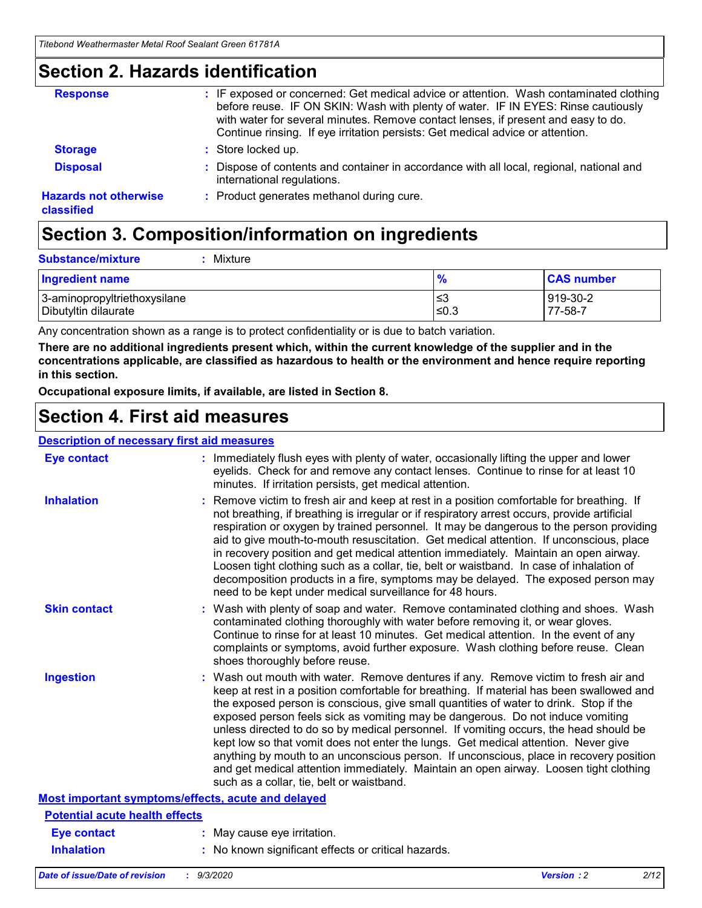### **Section 2. Hazards identification**

| <b>Response</b>                            | : IF exposed or concerned: Get medical advice or attention. Wash contaminated clothing<br>before reuse. IF ON SKIN: Wash with plenty of water. IF IN EYES: Rinse cautiously<br>with water for several minutes. Remove contact lenses, if present and easy to do.<br>Continue rinsing. If eye irritation persists: Get medical advice or attention. |
|--------------------------------------------|----------------------------------------------------------------------------------------------------------------------------------------------------------------------------------------------------------------------------------------------------------------------------------------------------------------------------------------------------|
| <b>Storage</b>                             | : Store locked up.                                                                                                                                                                                                                                                                                                                                 |
| <b>Disposal</b>                            | : Dispose of contents and container in accordance with all local, regional, national and<br>international regulations.                                                                                                                                                                                                                             |
| <b>Hazards not otherwise</b><br>classified | : Product generates methanol during cure.                                                                                                                                                                                                                                                                                                          |

# **Section 3. Composition/information on ingredients**

| <b>Substance/mixture</b> | Mixture |
|--------------------------|---------|
|                          |         |

| <b>Ingredient name</b>       | $\frac{9}{6}$ | <b>CAS number</b> |
|------------------------------|---------------|-------------------|
| 3-aminopropyltriethoxysilane | ≤3            | 919-30-2          |
| Dibutyltin dilaurate         | ∣≤0.3         | 77-58-7           |

Any concentration shown as a range is to protect confidentiality or is due to batch variation.

**There are no additional ingredients present which, within the current knowledge of the supplier and in the concentrations applicable, are classified as hazardous to health or the environment and hence require reporting in this section.**

**Occupational exposure limits, if available, are listed in Section 8.**

### **Section 4. First aid measures**

| <b>Description of necessary first aid measures</b> |                                                                                                                                                                                                                                                                                                                                                                                                                                                                                                                                                                                                                                                                                                                                                                           |
|----------------------------------------------------|---------------------------------------------------------------------------------------------------------------------------------------------------------------------------------------------------------------------------------------------------------------------------------------------------------------------------------------------------------------------------------------------------------------------------------------------------------------------------------------------------------------------------------------------------------------------------------------------------------------------------------------------------------------------------------------------------------------------------------------------------------------------------|
| <b>Eye contact</b>                                 | : Immediately flush eyes with plenty of water, occasionally lifting the upper and lower<br>eyelids. Check for and remove any contact lenses. Continue to rinse for at least 10<br>minutes. If irritation persists, get medical attention.                                                                                                                                                                                                                                                                                                                                                                                                                                                                                                                                 |
| <b>Inhalation</b>                                  | : Remove victim to fresh air and keep at rest in a position comfortable for breathing. If<br>not breathing, if breathing is irregular or if respiratory arrest occurs, provide artificial<br>respiration or oxygen by trained personnel. It may be dangerous to the person providing<br>aid to give mouth-to-mouth resuscitation. Get medical attention. If unconscious, place<br>in recovery position and get medical attention immediately. Maintain an open airway.<br>Loosen tight clothing such as a collar, tie, belt or waistband. In case of inhalation of<br>decomposition products in a fire, symptoms may be delayed. The exposed person may<br>need to be kept under medical surveillance for 48 hours.                                                       |
| <b>Skin contact</b>                                | : Wash with plenty of soap and water. Remove contaminated clothing and shoes. Wash<br>contaminated clothing thoroughly with water before removing it, or wear gloves.<br>Continue to rinse for at least 10 minutes. Get medical attention. In the event of any<br>complaints or symptoms, avoid further exposure. Wash clothing before reuse. Clean<br>shoes thoroughly before reuse.                                                                                                                                                                                                                                                                                                                                                                                     |
| <b>Ingestion</b>                                   | : Wash out mouth with water. Remove dentures if any. Remove victim to fresh air and<br>keep at rest in a position comfortable for breathing. If material has been swallowed and<br>the exposed person is conscious, give small quantities of water to drink. Stop if the<br>exposed person feels sick as vomiting may be dangerous. Do not induce vomiting<br>unless directed to do so by medical personnel. If vomiting occurs, the head should be<br>kept low so that vomit does not enter the lungs. Get medical attention. Never give<br>anything by mouth to an unconscious person. If unconscious, place in recovery position<br>and get medical attention immediately. Maintain an open airway. Loosen tight clothing<br>such as a collar, tie, belt or waistband. |
| Most important symptoms/effects, acute and delayed |                                                                                                                                                                                                                                                                                                                                                                                                                                                                                                                                                                                                                                                                                                                                                                           |
| <b>Potential acute health effects</b>              |                                                                                                                                                                                                                                                                                                                                                                                                                                                                                                                                                                                                                                                                                                                                                                           |
| Eye contact                                        | : May cause eye irritation.                                                                                                                                                                                                                                                                                                                                                                                                                                                                                                                                                                                                                                                                                                                                               |
| <b>Inhalation</b>                                  | : No known significant effects or critical hazards.                                                                                                                                                                                                                                                                                                                                                                                                                                                                                                                                                                                                                                                                                                                       |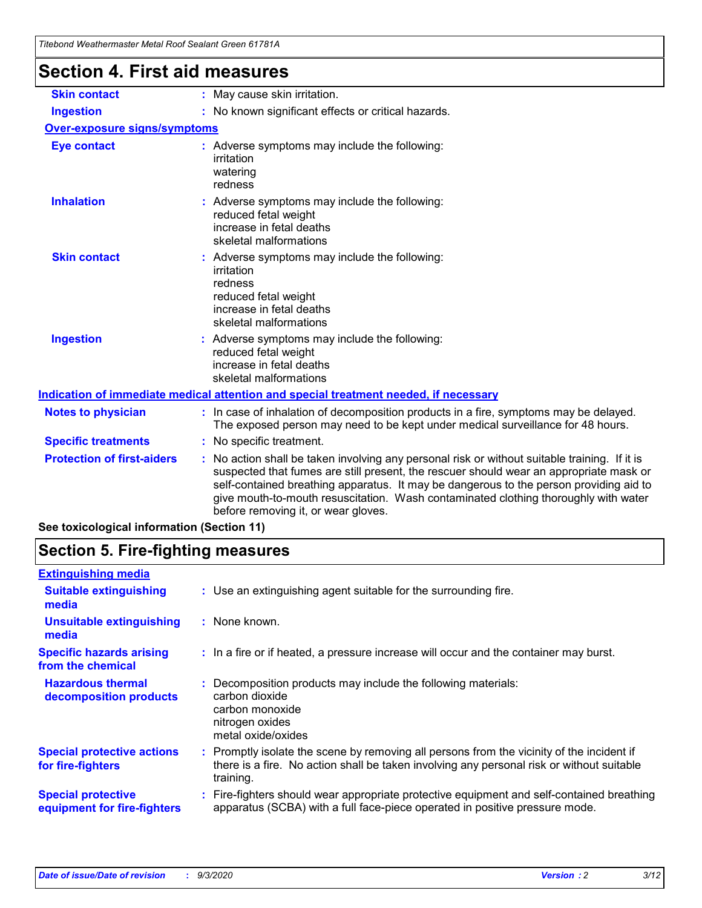| Titebond Weathermaster Metal Roof Sealant Green 61781A |                                                                                                                                                                                                                                                                                                                                                                                                                 |
|--------------------------------------------------------|-----------------------------------------------------------------------------------------------------------------------------------------------------------------------------------------------------------------------------------------------------------------------------------------------------------------------------------------------------------------------------------------------------------------|
| <b>Section 4. First aid measures</b>                   |                                                                                                                                                                                                                                                                                                                                                                                                                 |
| <b>Skin contact</b>                                    | : May cause skin irritation.                                                                                                                                                                                                                                                                                                                                                                                    |
| <b>Ingestion</b>                                       | : No known significant effects or critical hazards.                                                                                                                                                                                                                                                                                                                                                             |
| <b>Over-exposure signs/symptoms</b>                    |                                                                                                                                                                                                                                                                                                                                                                                                                 |
| <b>Eye contact</b>                                     | : Adverse symptoms may include the following:<br>irritation<br>watering<br>redness                                                                                                                                                                                                                                                                                                                              |
| <b>Inhalation</b>                                      | : Adverse symptoms may include the following:<br>reduced fetal weight<br>increase in fetal deaths<br>skeletal malformations                                                                                                                                                                                                                                                                                     |
| <b>Skin contact</b>                                    | : Adverse symptoms may include the following:<br>irritation<br>redness<br>reduced fetal weight<br>increase in fetal deaths<br>skeletal malformations                                                                                                                                                                                                                                                            |
| <b>Ingestion</b>                                       | : Adverse symptoms may include the following:<br>reduced fetal weight<br>increase in fetal deaths<br>skeletal malformations                                                                                                                                                                                                                                                                                     |
|                                                        | Indication of immediate medical attention and special treatment needed, if necessary                                                                                                                                                                                                                                                                                                                            |
| <b>Notes to physician</b>                              | : In case of inhalation of decomposition products in a fire, symptoms may be delayed.<br>The exposed person may need to be kept under medical surveillance for 48 hours.                                                                                                                                                                                                                                        |
| <b>Specific treatments</b>                             | : No specific treatment.                                                                                                                                                                                                                                                                                                                                                                                        |
| <b>Protection of first-aiders</b>                      | : No action shall be taken involving any personal risk or without suitable training. If it is<br>suspected that fumes are still present, the rescuer should wear an appropriate mask or<br>self-contained breathing apparatus. It may be dangerous to the person providing aid to<br>give mouth-to-mouth resuscitation. Wash contaminated clothing thoroughly with water<br>before removing it, or wear gloves. |
| See toxicological information (Section 11)             |                                                                                                                                                                                                                                                                                                                                                                                                                 |

### **Section 5. Fire-fighting measures**

| <b>Extinguishing media</b>                               |                                                                                                                                                                                                     |
|----------------------------------------------------------|-----------------------------------------------------------------------------------------------------------------------------------------------------------------------------------------------------|
| <b>Suitable extinguishing</b><br>media                   | : Use an extinguishing agent suitable for the surrounding fire.                                                                                                                                     |
| <b>Unsuitable extinguishing</b><br>media                 | : None known.                                                                                                                                                                                       |
| <b>Specific hazards arising</b><br>from the chemical     | : In a fire or if heated, a pressure increase will occur and the container may burst.                                                                                                               |
| <b>Hazardous thermal</b><br>decomposition products       | Decomposition products may include the following materials:<br>carbon dioxide<br>carbon monoxide<br>nitrogen oxides<br>metal oxide/oxides                                                           |
| <b>Special protective actions</b><br>for fire-fighters   | : Promptly isolate the scene by removing all persons from the vicinity of the incident if<br>there is a fire. No action shall be taken involving any personal risk or without suitable<br>training. |
| <b>Special protective</b><br>equipment for fire-fighters | Fire-fighters should wear appropriate protective equipment and self-contained breathing<br>apparatus (SCBA) with a full face-piece operated in positive pressure mode.                              |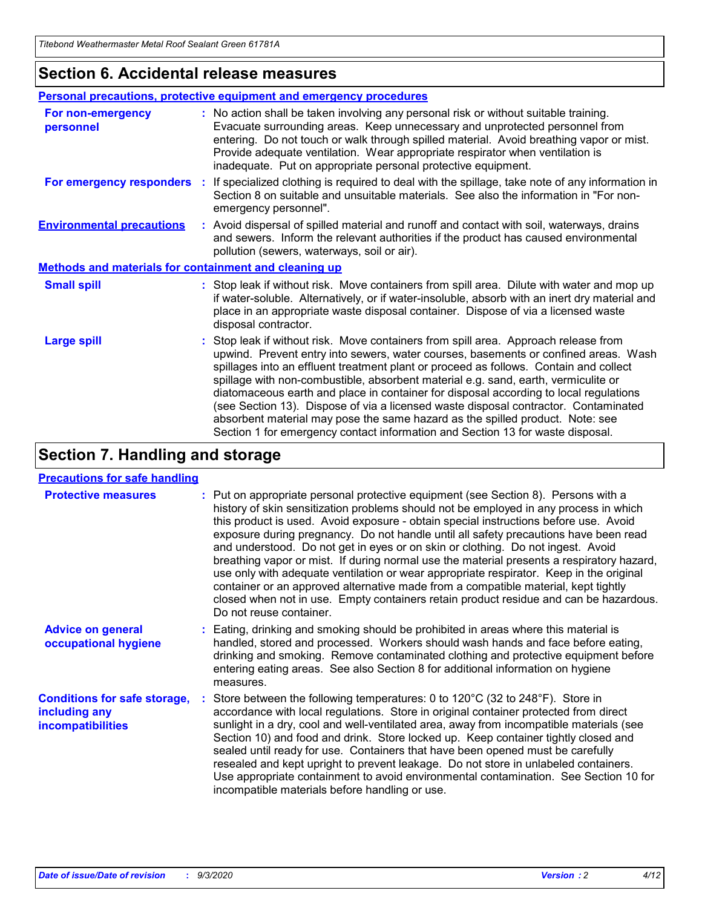### **Section 6. Accidental release measures**

|                                                       | <b>Personal precautions, protective equipment and emergency procedures</b>                                                                                                                                                                                                                                                                                                                                                                                                                                                                                                                                                                                                                                   |
|-------------------------------------------------------|--------------------------------------------------------------------------------------------------------------------------------------------------------------------------------------------------------------------------------------------------------------------------------------------------------------------------------------------------------------------------------------------------------------------------------------------------------------------------------------------------------------------------------------------------------------------------------------------------------------------------------------------------------------------------------------------------------------|
| For non-emergency<br>personnel                        | : No action shall be taken involving any personal risk or without suitable training.<br>Evacuate surrounding areas. Keep unnecessary and unprotected personnel from<br>entering. Do not touch or walk through spilled material. Avoid breathing vapor or mist.<br>Provide adequate ventilation. Wear appropriate respirator when ventilation is<br>inadequate. Put on appropriate personal protective equipment.                                                                                                                                                                                                                                                                                             |
| For emergency responders                              | : If specialized clothing is required to deal with the spillage, take note of any information in<br>Section 8 on suitable and unsuitable materials. See also the information in "For non-<br>emergency personnel".                                                                                                                                                                                                                                                                                                                                                                                                                                                                                           |
| <b>Environmental precautions</b>                      | : Avoid dispersal of spilled material and runoff and contact with soil, waterways, drains<br>and sewers. Inform the relevant authorities if the product has caused environmental<br>pollution (sewers, waterways, soil or air).                                                                                                                                                                                                                                                                                                                                                                                                                                                                              |
| Methods and materials for containment and cleaning up |                                                                                                                                                                                                                                                                                                                                                                                                                                                                                                                                                                                                                                                                                                              |
| <b>Small spill</b>                                    | : Stop leak if without risk. Move containers from spill area. Dilute with water and mop up<br>if water-soluble. Alternatively, or if water-insoluble, absorb with an inert dry material and<br>place in an appropriate waste disposal container. Dispose of via a licensed waste<br>disposal contractor.                                                                                                                                                                                                                                                                                                                                                                                                     |
| <b>Large spill</b>                                    | : Stop leak if without risk. Move containers from spill area. Approach release from<br>upwind. Prevent entry into sewers, water courses, basements or confined areas. Wash<br>spillages into an effluent treatment plant or proceed as follows. Contain and collect<br>spillage with non-combustible, absorbent material e.g. sand, earth, vermiculite or<br>diatomaceous earth and place in container for disposal according to local regulations<br>(see Section 13). Dispose of via a licensed waste disposal contractor. Contaminated<br>absorbent material may pose the same hazard as the spilled product. Note: see<br>Section 1 for emergency contact information and Section 13 for waste disposal. |

### **Section 7. Handling and storage**

#### **Precautions for safe handling**

| <b>Protective measures</b>                                                       | : Put on appropriate personal protective equipment (see Section 8). Persons with a<br>history of skin sensitization problems should not be employed in any process in which<br>this product is used. Avoid exposure - obtain special instructions before use. Avoid<br>exposure during pregnancy. Do not handle until all safety precautions have been read<br>and understood. Do not get in eyes or on skin or clothing. Do not ingest. Avoid<br>breathing vapor or mist. If during normal use the material presents a respiratory hazard,<br>use only with adequate ventilation or wear appropriate respirator. Keep in the original<br>container or an approved alternative made from a compatible material, kept tightly<br>closed when not in use. Empty containers retain product residue and can be hazardous.<br>Do not reuse container. |
|----------------------------------------------------------------------------------|--------------------------------------------------------------------------------------------------------------------------------------------------------------------------------------------------------------------------------------------------------------------------------------------------------------------------------------------------------------------------------------------------------------------------------------------------------------------------------------------------------------------------------------------------------------------------------------------------------------------------------------------------------------------------------------------------------------------------------------------------------------------------------------------------------------------------------------------------|
| <b>Advice on general</b><br>occupational hygiene                                 | : Eating, drinking and smoking should be prohibited in areas where this material is<br>handled, stored and processed. Workers should wash hands and face before eating,<br>drinking and smoking. Remove contaminated clothing and protective equipment before<br>entering eating areas. See also Section 8 for additional information on hygiene<br>measures.                                                                                                                                                                                                                                                                                                                                                                                                                                                                                    |
| <b>Conditions for safe storage,</b><br>including any<br><i>incompatibilities</i> | Store between the following temperatures: 0 to 120°C (32 to 248°F). Store in<br>accordance with local regulations. Store in original container protected from direct<br>sunlight in a dry, cool and well-ventilated area, away from incompatible materials (see<br>Section 10) and food and drink. Store locked up. Keep container tightly closed and<br>sealed until ready for use. Containers that have been opened must be carefully<br>resealed and kept upright to prevent leakage. Do not store in unlabeled containers.<br>Use appropriate containment to avoid environmental contamination. See Section 10 for<br>incompatible materials before handling or use.                                                                                                                                                                         |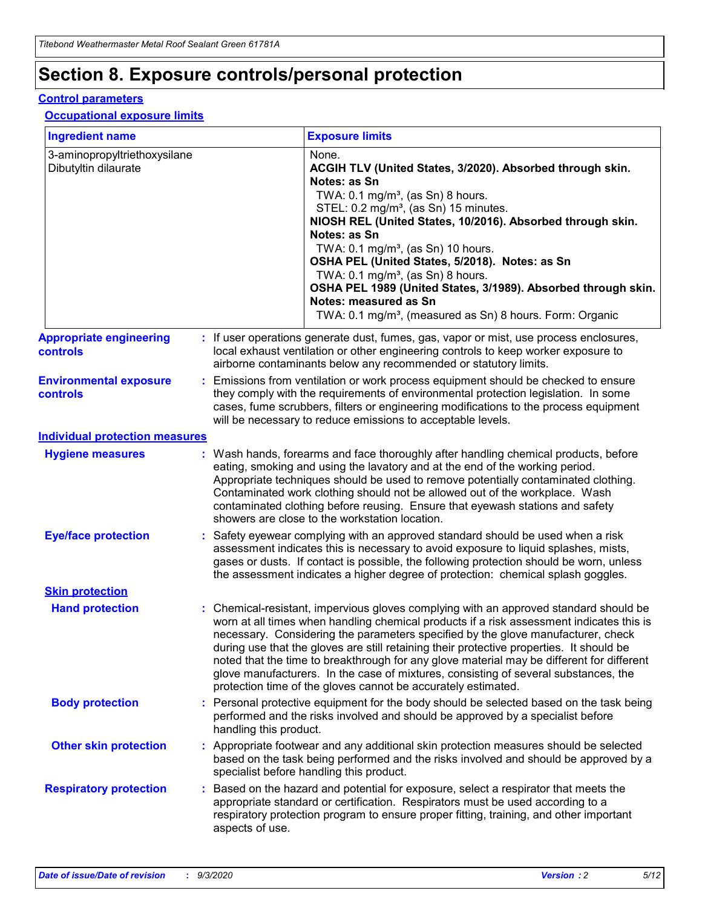# **Section 8. Exposure controls/personal protection**

#### **Control parameters**

#### **Occupational exposure limits**

| <b>Ingredient name</b>                               |    |                        | <b>Exposure limits</b>                                                                                                                                                                                                                                                                                                                                                                                                                                                                                                                                                                                                 |
|------------------------------------------------------|----|------------------------|------------------------------------------------------------------------------------------------------------------------------------------------------------------------------------------------------------------------------------------------------------------------------------------------------------------------------------------------------------------------------------------------------------------------------------------------------------------------------------------------------------------------------------------------------------------------------------------------------------------------|
| 3-aminopropyltriethoxysilane<br>Dibutyltin dilaurate |    |                        | None.<br>ACGIH TLV (United States, 3/2020). Absorbed through skin.<br>Notes: as Sn<br>TWA: $0.1 \text{ mg/m}^3$ , (as Sn) 8 hours.<br>STEL: 0.2 mg/m <sup>3</sup> , (as Sn) 15 minutes.<br>NIOSH REL (United States, 10/2016). Absorbed through skin.<br>Notes: as Sn<br>TWA: 0.1 mg/m <sup>3</sup> , (as Sn) 10 hours.<br>OSHA PEL (United States, 5/2018). Notes: as Sn<br>TWA: $0.1 \text{ mg/m}^3$ , (as Sn) 8 hours.<br>OSHA PEL 1989 (United States, 3/1989). Absorbed through skin.<br>Notes: measured as Sn<br>TWA: 0.1 mg/m <sup>3</sup> , (measured as Sn) 8 hours. Form: Organic                            |
| <b>Appropriate engineering</b><br>controls           |    |                        | : If user operations generate dust, fumes, gas, vapor or mist, use process enclosures,<br>local exhaust ventilation or other engineering controls to keep worker exposure to<br>airborne contaminants below any recommended or statutory limits.                                                                                                                                                                                                                                                                                                                                                                       |
| <b>Environmental exposure</b><br>controls            |    |                        | Emissions from ventilation or work process equipment should be checked to ensure<br>they comply with the requirements of environmental protection legislation. In some<br>cases, fume scrubbers, filters or engineering modifications to the process equipment<br>will be necessary to reduce emissions to acceptable levels.                                                                                                                                                                                                                                                                                          |
| <b>Individual protection measures</b>                |    |                        |                                                                                                                                                                                                                                                                                                                                                                                                                                                                                                                                                                                                                        |
| <b>Hygiene measures</b>                              |    |                        | : Wash hands, forearms and face thoroughly after handling chemical products, before<br>eating, smoking and using the lavatory and at the end of the working period.<br>Appropriate techniques should be used to remove potentially contaminated clothing.<br>Contaminated work clothing should not be allowed out of the workplace. Wash<br>contaminated clothing before reusing. Ensure that eyewash stations and safety<br>showers are close to the workstation location.                                                                                                                                            |
| <b>Eye/face protection</b>                           |    |                        | : Safety eyewear complying with an approved standard should be used when a risk<br>assessment indicates this is necessary to avoid exposure to liquid splashes, mists,<br>gases or dusts. If contact is possible, the following protection should be worn, unless<br>the assessment indicates a higher degree of protection: chemical splash goggles.                                                                                                                                                                                                                                                                  |
| <b>Skin protection</b>                               |    |                        |                                                                                                                                                                                                                                                                                                                                                                                                                                                                                                                                                                                                                        |
| <b>Hand protection</b>                               |    |                        | : Chemical-resistant, impervious gloves complying with an approved standard should be<br>worn at all times when handling chemical products if a risk assessment indicates this is<br>necessary. Considering the parameters specified by the glove manufacturer, check<br>during use that the gloves are still retaining their protective properties. It should be<br>noted that the time to breakthrough for any glove material may be different for different<br>glove manufacturers. In the case of mixtures, consisting of several substances, the<br>protection time of the gloves cannot be accurately estimated. |
| <b>Body protection</b>                               |    | handling this product. | Personal protective equipment for the body should be selected based on the task being<br>performed and the risks involved and should be approved by a specialist before                                                                                                                                                                                                                                                                                                                                                                                                                                                |
| <b>Other skin protection</b>                         |    |                        | : Appropriate footwear and any additional skin protection measures should be selected<br>based on the task being performed and the risks involved and should be approved by a<br>specialist before handling this product.                                                                                                                                                                                                                                                                                                                                                                                              |
| <b>Respiratory protection</b>                        | ÷. | aspects of use.        | Based on the hazard and potential for exposure, select a respirator that meets the<br>appropriate standard or certification. Respirators must be used according to a<br>respiratory protection program to ensure proper fitting, training, and other important                                                                                                                                                                                                                                                                                                                                                         |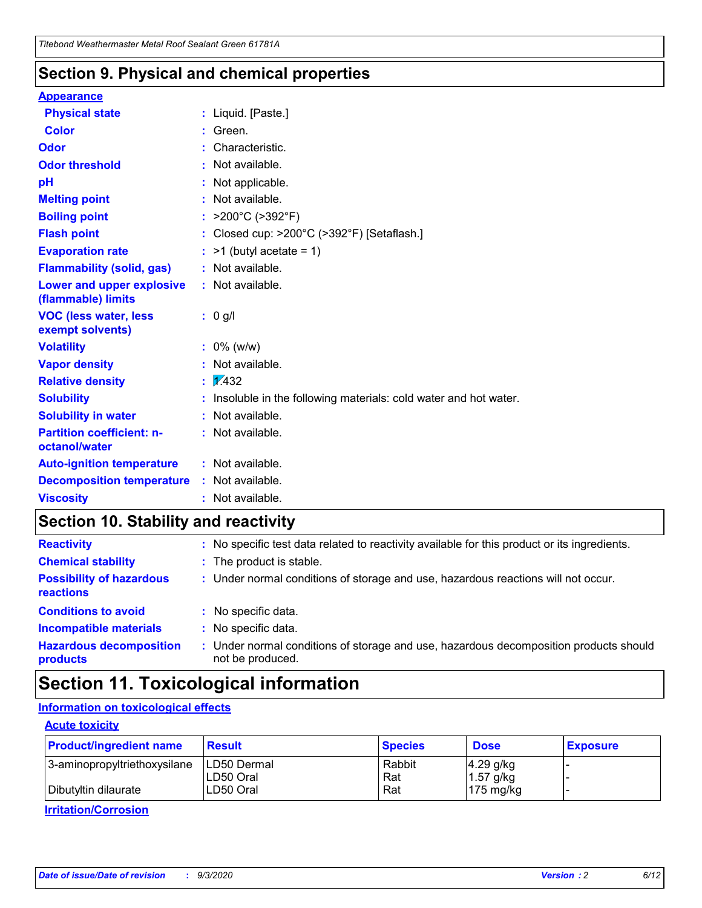### **Section 9. Physical and chemical properties**

#### **Appearance**

| <b>Physical state</b>                             |   | : Liquid. [Paste.]                                              |
|---------------------------------------------------|---|-----------------------------------------------------------------|
| <b>Color</b>                                      |   | Green.                                                          |
| Odor                                              |   | Characteristic.                                                 |
| <b>Odor threshold</b>                             | ÷ | Not available.                                                  |
| рH                                                |   | Not applicable.                                                 |
| <b>Melting point</b>                              |   | : Not available.                                                |
| <b>Boiling point</b>                              |   | >200°C (>392°F)                                                 |
| <b>Flash point</b>                                |   | Closed cup: >200°C (>392°F) [Setaflash.]                        |
| <b>Evaporation rate</b>                           |   | $:$ >1 (butyl acetate = 1)                                      |
| <b>Flammability (solid, gas)</b>                  |   | : Not available.                                                |
| Lower and upper explosive<br>(flammable) limits   |   | : Not available.                                                |
| <b>VOC (less water, less)</b><br>exempt solvents) |   | : 0 g/l                                                         |
| <b>Volatility</b>                                 |   | $: 0\%$ (w/w)                                                   |
| <b>Vapor density</b>                              |   | Not available.                                                  |
| <b>Relative density</b>                           |   | $\mathbf{1}$ $\mathbf{\sqrt{432}}$                              |
| <b>Solubility</b>                                 |   | Insoluble in the following materials: cold water and hot water. |
| <b>Solubility in water</b>                        |   | Not available.                                                  |
| <b>Partition coefficient: n-</b><br>octanol/water |   | $:$ Not available.                                              |
| <b>Auto-ignition temperature</b>                  |   | : Not available.                                                |
| <b>Decomposition temperature</b>                  |   | : Not available.                                                |
| <b>Viscosity</b>                                  |   | $:$ Not available.                                              |

### **Section 10. Stability and reactivity**

| <b>Reactivity</b>                            |    | : No specific test data related to reactivity available for this product or its ingredients.            |
|----------------------------------------------|----|---------------------------------------------------------------------------------------------------------|
| <b>Chemical stability</b>                    |    | : The product is stable.                                                                                |
| <b>Possibility of hazardous</b><br>reactions |    | : Under normal conditions of storage and use, hazardous reactions will not occur.                       |
| <b>Conditions to avoid</b>                   |    | : No specific data.                                                                                     |
| <b>Incompatible materials</b>                |    | : No specific data.                                                                                     |
| <b>Hazardous decomposition</b><br>products   | ÷. | Under normal conditions of storage and use, hazardous decomposition products should<br>not be produced. |

### **Section 11. Toxicological information**

#### **Information on toxicological effects**

#### **Acute toxicity**

| <b>Product/ingredient name</b> | <b>Result</b>           | <b>Species</b> | <b>Dose</b>                | <b>Exposure</b> |
|--------------------------------|-------------------------|----------------|----------------------------|-----------------|
| 3-aminopropyltriethoxysilane   | <b>ILD50 Dermal</b>     | Rabbit         | 4.29 g/kg                  |                 |
| Dibutyltin dilaurate           | ILD50 Oral<br>LD50 Oral | Rat<br>Rat     | $1.57$ g/kg<br>175 $mg/kg$ |                 |
|                                |                         |                |                            |                 |

**Irritation/Corrosion**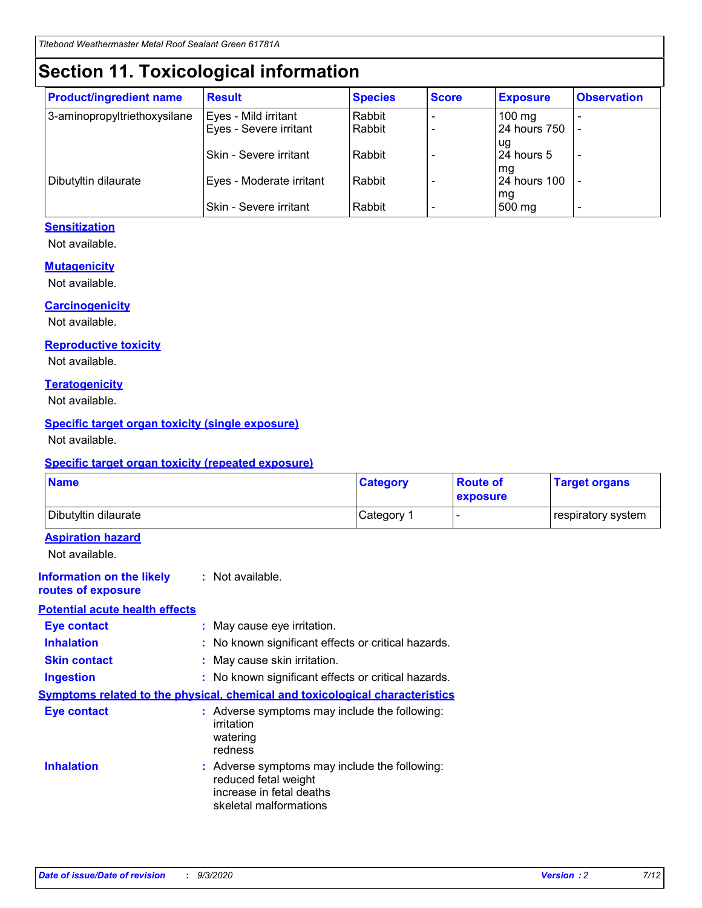# **Section 11. Toxicological information**

| <b>Product/ingredient name</b> | <b>Result</b>            | <b>Species</b> | <b>Score</b> | <b>Exposure</b>    | <b>Observation</b> |
|--------------------------------|--------------------------|----------------|--------------|--------------------|--------------------|
| 3-aminopropyltriethoxysilane   | Eyes - Mild irritant     | Rabbit         |              | $100 \text{ mg}$   |                    |
|                                | Eyes - Severe irritant   | Rabbit         |              | 24 hours 750       |                    |
|                                |                          |                |              | ug                 |                    |
|                                | Skin - Severe irritant   | Rabbit         |              | 24 hours 5         | -                  |
| Dibutyltin dilaurate           | Eyes - Moderate irritant | Rabbit         |              | mg<br>24 hours 100 |                    |
|                                |                          |                |              | mg                 |                    |
|                                | Skin - Severe irritant   | Rabbit         |              | 500 mg             | -                  |

#### **Sensitization**

Not available.

#### **Mutagenicity**

Not available.

#### **Carcinogenicity**

Not available.

#### **Reproductive toxicity**

Not available.

#### **Teratogenicity**

Not available.

#### **Specific target organ toxicity (single exposure)**

Not available.

#### **Specific target organ toxicity (repeated exposure)**

| <b>Name</b>                                                                  |                                                                                                                             | <b>Category</b>                                     | <b>Route of</b><br>exposure | <b>Target organs</b> |  |  |
|------------------------------------------------------------------------------|-----------------------------------------------------------------------------------------------------------------------------|-----------------------------------------------------|-----------------------------|----------------------|--|--|
| Dibutyltin dilaurate                                                         |                                                                                                                             | Category 1                                          | $\overline{\phantom{0}}$    | respiratory system   |  |  |
| <b>Aspiration hazard</b><br>Not available.                                   |                                                                                                                             |                                                     |                             |                      |  |  |
| <b>Information on the likely</b><br>routes of exposure                       | : Not available.                                                                                                            |                                                     |                             |                      |  |  |
| <b>Potential acute health effects</b>                                        |                                                                                                                             |                                                     |                             |                      |  |  |
| <b>Eye contact</b>                                                           | : May cause eye irritation.                                                                                                 |                                                     |                             |                      |  |  |
| <b>Inhalation</b>                                                            |                                                                                                                             | : No known significant effects or critical hazards. |                             |                      |  |  |
| <b>Skin contact</b>                                                          |                                                                                                                             | : May cause skin irritation.                        |                             |                      |  |  |
| <b>Ingestion</b>                                                             |                                                                                                                             | : No known significant effects or critical hazards. |                             |                      |  |  |
| Symptoms related to the physical, chemical and toxicological characteristics |                                                                                                                             |                                                     |                             |                      |  |  |
| <b>Eye contact</b>                                                           | : Adverse symptoms may include the following:<br>irritation<br>watering<br>redness                                          |                                                     |                             |                      |  |  |
| <b>Inhalation</b>                                                            | : Adverse symptoms may include the following:<br>reduced fetal weight<br>increase in fetal deaths<br>skeletal malformations |                                                     |                             |                      |  |  |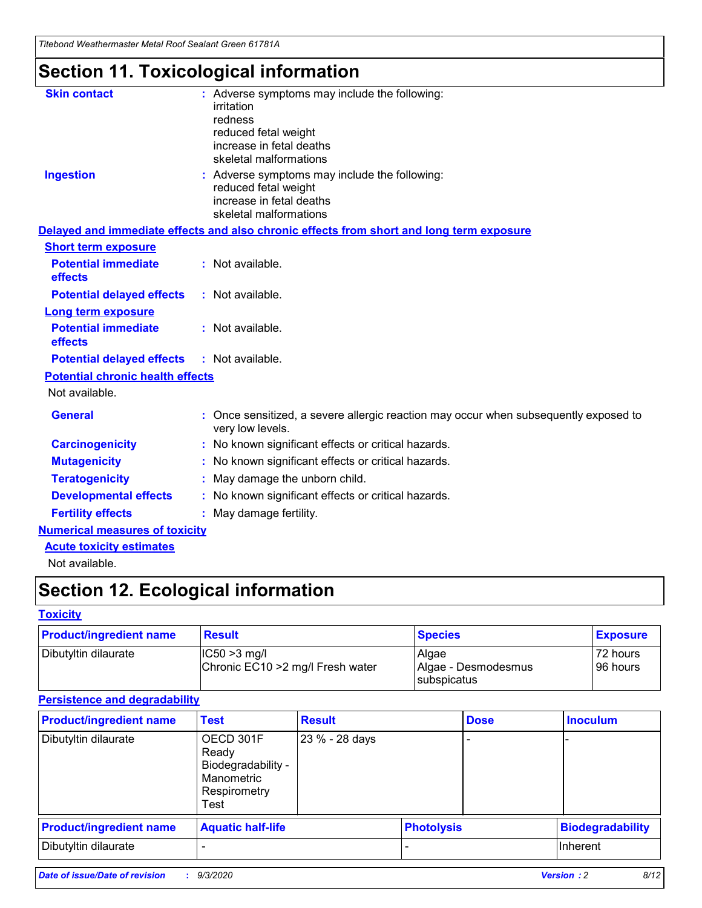*Titebond Weathermaster Metal Roof Sealant Green 61781A*

# **Section 11. Toxicological information**

| <b>Skin contact</b>                          | : Adverse symptoms may include the following:<br>irritation                                            |
|----------------------------------------------|--------------------------------------------------------------------------------------------------------|
|                                              | redness                                                                                                |
|                                              | reduced fetal weight                                                                                   |
|                                              | increase in fetal deaths                                                                               |
|                                              | skeletal malformations                                                                                 |
| <b>Ingestion</b>                             | : Adverse symptoms may include the following:<br>reduced fetal weight                                  |
|                                              | increase in fetal deaths                                                                               |
|                                              | skeletal malformations                                                                                 |
|                                              | Delayed and immediate effects and also chronic effects from short and long term exposure               |
| <b>Short term exposure</b>                   |                                                                                                        |
| <b>Potential immediate</b><br>effects        | : Not available.                                                                                       |
| <b>Potential delayed effects</b>             | : Not available.                                                                                       |
| <b>Long term exposure</b>                    |                                                                                                        |
| <b>Potential immediate</b><br><b>effects</b> | : Not available.                                                                                       |
| <b>Potential delayed effects</b>             | : Not available.                                                                                       |
| <b>Potential chronic health effects</b>      |                                                                                                        |
| Not available.                               |                                                                                                        |
| <b>General</b>                               | Once sensitized, a severe allergic reaction may occur when subsequently exposed to<br>very low levels. |
| <b>Carcinogenicity</b>                       | No known significant effects or critical hazards.                                                      |
| <b>Mutagenicity</b>                          | : No known significant effects or critical hazards.                                                    |
| <b>Teratogenicity</b>                        | May damage the unborn child.                                                                           |
| <b>Developmental effects</b>                 | : No known significant effects or critical hazards.                                                    |
| <b>Fertility effects</b>                     | : May damage fertility.                                                                                |
| <b>Numerical measures of toxicity</b>        |                                                                                                        |
| <b>Acute toxicity estimates</b>              |                                                                                                        |
| Not ovoilable                                |                                                                                                        |

Not available.

# **Section 12. Ecological information**

#### **Toxicity**

| <b>Product/ingredient name</b> | <b>Result</b>                                       | <b>Species</b>               | <b>Exposure</b>       |
|--------------------------------|-----------------------------------------------------|------------------------------|-----------------------|
| Dibutyltin dilaurate           | $ CC50>3$ mg/l<br>Chronic EC10 > 2 mg/l Fresh water | Algae<br>Algae - Desmodesmus | 72 hours<br>196 hours |
|                                |                                                     | <b>I</b> subspicatus         |                       |

#### **Persistence and degradability**

| <b>Product/ingredient name</b> | <b>Test</b>                                                                    | <b>Result</b>  |  | <b>Dose</b>       | <b>Inoculum</b>         |
|--------------------------------|--------------------------------------------------------------------------------|----------------|--|-------------------|-------------------------|
| Dibutyltin dilaurate           | OECD 301F<br>Ready<br>Biodegradability -<br>Manometric<br>Respirometry<br>Test | 23 % - 28 days |  |                   |                         |
| <b>Product/ingredient name</b> | <b>Aquatic half-life</b>                                                       |                |  | <b>Photolysis</b> | <b>Biodegradability</b> |
| Dibutyltin dilaurate           |                                                                                |                |  |                   | <b>Inherent</b>         |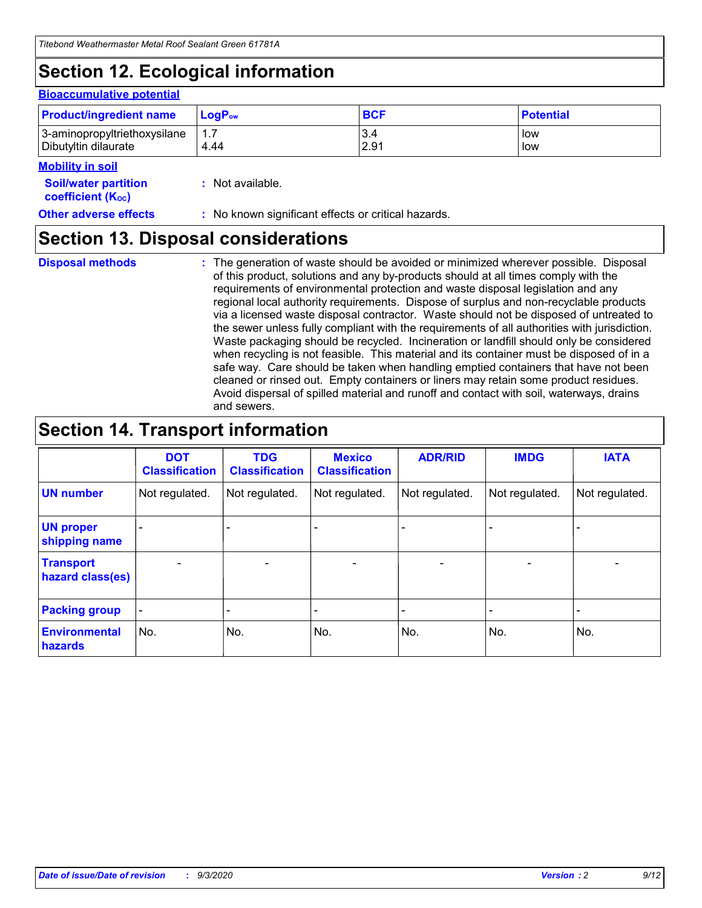# **Section 12. Ecological information**

#### **Bioaccumulative potential**

| <b>Product/ingredient name</b> | $LoaPow$ | <b>BCF</b> | <b>Potential</b> |
|--------------------------------|----------|------------|------------------|
| 3-aminopropyltriethoxysilane   | 1.7      | 3.4        | low              |
| Dibutyltin dilaurate           | 4.44     | 2.91       | low              |

#### **Soil/water Mobility in soil**

| <b>Soil/water partition</b>    | : Not available. |
|--------------------------------|------------------|
| coefficient (K <sub>oc</sub> ) |                  |

**Other adverse effects** : No known significant effects or critical hazards.

### **Section 13. Disposal considerations**

**Disposal methods :**

The generation of waste should be avoided or minimized wherever possible. Disposal of this product, solutions and any by-products should at all times comply with the requirements of environmental protection and waste disposal legislation and any regional local authority requirements. Dispose of surplus and non-recyclable products via a licensed waste disposal contractor. Waste should not be disposed of untreated to the sewer unless fully compliant with the requirements of all authorities with jurisdiction. Waste packaging should be recycled. Incineration or landfill should only be considered when recycling is not feasible. This material and its container must be disposed of in a safe way. Care should be taken when handling emptied containers that have not been cleaned or rinsed out. Empty containers or liners may retain some product residues. Avoid dispersal of spilled material and runoff and contact with soil, waterways, drains and sewers.

### **Section 14. Transport information**

|                                      | <b>DOT</b><br><b>Classification</b> | <b>TDG</b><br><b>Classification</b> | <b>Mexico</b><br><b>Classification</b> | <b>ADR/RID</b>               | <b>IMDG</b>              | <b>IATA</b>    |
|--------------------------------------|-------------------------------------|-------------------------------------|----------------------------------------|------------------------------|--------------------------|----------------|
| <b>UN number</b>                     | Not regulated.                      | Not regulated.                      | Not regulated.                         | Not regulated.               | Not regulated.           | Not regulated. |
| <b>UN proper</b><br>shipping name    |                                     |                                     |                                        |                              |                          |                |
| <b>Transport</b><br>hazard class(es) | $\overline{\phantom{m}}$            | $\overline{\phantom{0}}$            | $\qquad \qquad$                        | $\qquad \qquad \blacksquare$ | $\overline{\phantom{0}}$ |                |
| <b>Packing group</b>                 | -                                   |                                     |                                        |                              |                          |                |
| <b>Environmental</b><br>hazards      | No.                                 | No.                                 | No.                                    | No.                          | No.                      | No.            |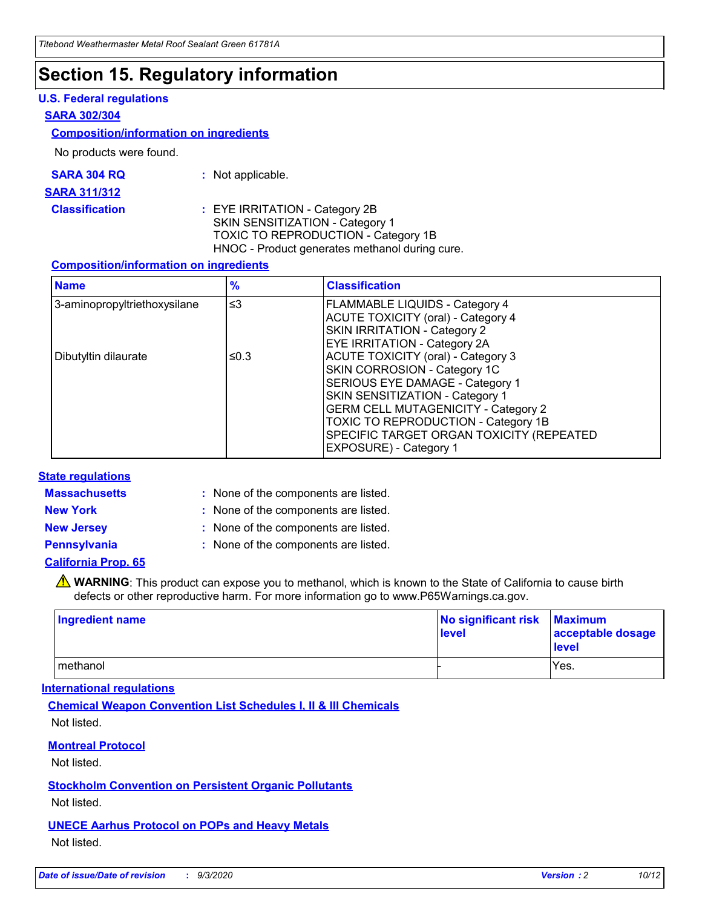### **Section 15. Regulatory information**

#### **U.S. Federal regulations**

#### **SARA 302/304**

#### **Composition/information on ingredients**

No products were found.

| SARA 304 RQ | Not applicable. |
|-------------|-----------------|
|-------------|-----------------|

#### **SARA 311/312**

**Classification :** EYE IRRITATION - Category 2B SKIN SENSITIZATION - Category 1 TOXIC TO REPRODUCTION - Category 1B HNOC - Product generates methanol during cure.

#### **Composition/information on ingredients**

| <b>Name</b>                  | $\frac{9}{6}$ | <b>Classification</b>                                                                                                                                                                                                                                                                                      |
|------------------------------|---------------|------------------------------------------------------------------------------------------------------------------------------------------------------------------------------------------------------------------------------------------------------------------------------------------------------------|
| 3-aminopropyltriethoxysilane | $\leq$ 3      | <b>FLAMMABLE LIQUIDS - Category 4</b><br><b>ACUTE TOXICITY (oral) - Category 4</b><br><b>SKIN IRRITATION - Category 2</b><br>EYE IRRITATION - Category 2A                                                                                                                                                  |
| Dibutyltin dilaurate         | ≤0.3          | <b>ACUTE TOXICITY (oral) - Category 3</b><br>SKIN CORROSION - Category 1C<br>SERIOUS EYE DAMAGE - Category 1<br>SKIN SENSITIZATION - Category 1<br><b>GERM CELL MUTAGENICITY - Category 2</b><br>TOXIC TO REPRODUCTION - Category 1B<br>SPECIFIC TARGET ORGAN TOXICITY (REPEATED<br>EXPOSURE) - Category 1 |

#### **State regulations**

**Massachusetts :**

: None of the components are listed.

**New York :** None of the components are listed. **New Jersey :** None of the components are listed.

**Pennsylvania :** None of the components are listed.

#### **California Prop. 65**

WARNING: This product can expose you to methanol, which is known to the State of California to cause birth defects or other reproductive harm. For more information go to www.P65Warnings.ca.gov.

| Ingredient name | No significant risk<br>level | <b>Maximum</b><br>acceptable dosage<br><b>level</b> |
|-----------------|------------------------------|-----------------------------------------------------|
| l methanol      |                              | Yes.                                                |

#### **International regulations**

**Chemical Weapon Convention List Schedules I, II & III Chemicals** Not listed.

#### **Montreal Protocol**

Not listed.

**Stockholm Convention on Persistent Organic Pollutants**

Not listed.

#### **UNECE Aarhus Protocol on POPs and Heavy Metals** Not listed.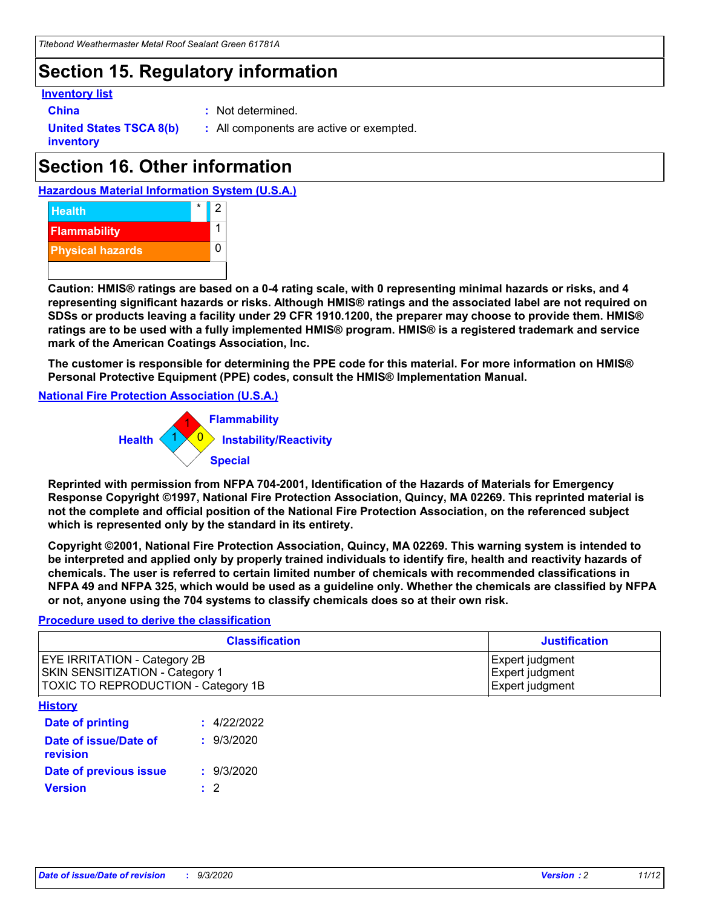### **Section 15. Regulatory information**

#### **Inventory list**

- 
- **China :** Not determined.

**United States TSCA 8(b) inventory**

**:** All components are active or exempted.

# **Section 16. Other information**





**Caution: HMIS® ratings are based on a 0-4 rating scale, with 0 representing minimal hazards or risks, and 4 representing significant hazards or risks. Although HMIS® ratings and the associated label are not required on SDSs or products leaving a facility under 29 CFR 1910.1200, the preparer may choose to provide them. HMIS® ratings are to be used with a fully implemented HMIS® program. HMIS® is a registered trademark and service mark of the American Coatings Association, Inc.**

**The customer is responsible for determining the PPE code for this material. For more information on HMIS® Personal Protective Equipment (PPE) codes, consult the HMIS® Implementation Manual.**

**National Fire Protection Association (U.S.A.)**



**Reprinted with permission from NFPA 704-2001, Identification of the Hazards of Materials for Emergency Response Copyright ©1997, National Fire Protection Association, Quincy, MA 02269. This reprinted material is not the complete and official position of the National Fire Protection Association, on the referenced subject which is represented only by the standard in its entirety.**

**Copyright ©2001, National Fire Protection Association, Quincy, MA 02269. This warning system is intended to be interpreted and applied only by properly trained individuals to identify fire, health and reactivity hazards of chemicals. The user is referred to certain limited number of chemicals with recommended classifications in NFPA 49 and NFPA 325, which would be used as a guideline only. Whether the chemicals are classified by NFPA or not, anyone using the 704 systems to classify chemicals does so at their own risk.**

#### **Procedure used to derive the classification**

| <b>Classification</b>                                                                                         | <b>Justification</b>                                  |
|---------------------------------------------------------------------------------------------------------------|-------------------------------------------------------|
| <b>EYE IRRITATION - Category 2B</b><br>SKIN SENSITIZATION - Category 1<br>TOXIC TO REPRODUCTION - Category 1B | Expert judgment<br>Expert judgment<br>Expert judgment |
| <b>History</b>                                                                                                |                                                       |

| Date of printing                  | : 4/22/2022 |
|-----------------------------------|-------------|
| Date of issue/Date of<br>revision | : 9/3/2020  |
| Date of previous issue            | : 9/3/2020  |
| <b>Version</b>                    | $\cdot$ 2   |
|                                   |             |